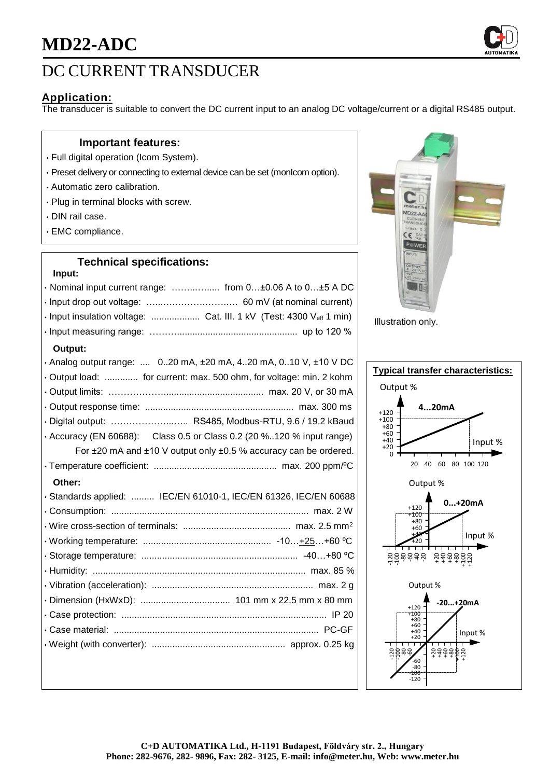

# DC CURRENT TRANSDUCER

## **Application:**

The transducer is suitable to convert the DC current input to an analog DC voltage/current or a digital RS485 output.

### **Important features:**

- Full digital operation (Icom System).
- Preset delivery or connecting to external device can be set (monIcom option).
- Automatic zero calibration.
- Plug in terminal blocks with screw.
- DIN rail case.
- EMC compliance.

### **Technical specifications:**

#### **Input:**

| · Nominal input current range:  from 0±0.06 A to 0±5 A DC                 |
|---------------------------------------------------------------------------|
|                                                                           |
| · Input insulation voltage:  Cat. III. 1 kV (Test: 4300 Veff 1 min)       |
|                                                                           |
| Output:                                                                   |
| . Analog output range:  020 mA, $\pm 20$ mA, 420 mA, 010 V, $\pm 10$ V DC |
| Output load:  for current: max. 500 ohm, for voltage: min. 2 kohm         |
|                                                                           |
|                                                                           |
| · Digital output:  RS485, Modbus-RTU, 9.6 / 19.2 kBaud                    |
| • Accuracy (EN 60688): Class 0.5 or Class 0.2 (20 %120 % input range)     |
| For ±20 mA and ±10 V output only ±0.5 % accuracy can be ordered.          |
|                                                                           |
| Other:                                                                    |
| · Standards applied:  IEC/EN 61010-1, IEC/EN 61326, IEC/EN 60688          |
|                                                                           |
|                                                                           |
|                                                                           |
|                                                                           |
|                                                                           |
|                                                                           |
|                                                                           |
|                                                                           |
|                                                                           |
|                                                                           |
|                                                                           |



Illustration only.